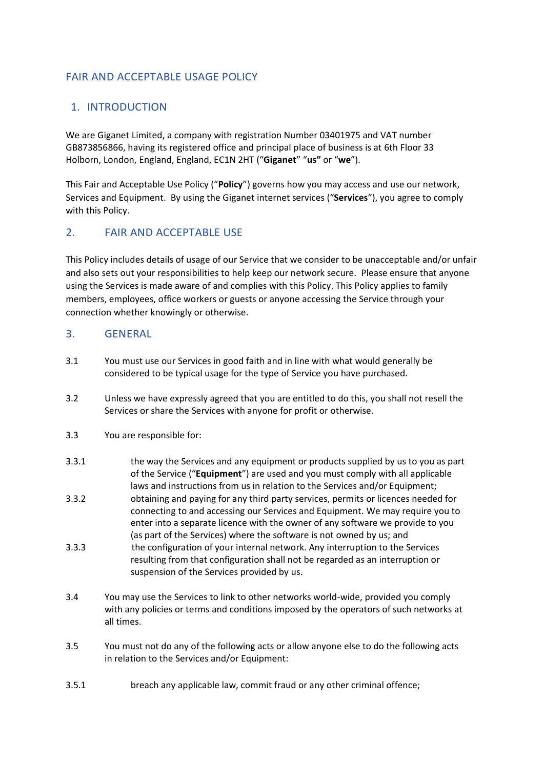# FAIR AND ACCEPTABLE USAGE POLICY

# 1. INTRODUCTION

We are Giganet Limited, a company with registration Number 03401975 and VAT number GB873856866, having its registered office and principal place of business is at 6th Floor 33 Holborn, London, England, England, EC1N 2HT ("**Giganet**" "**us"** or "**we**").

This Fair and Acceptable Use Policy ("**Policy**") governs how you may access and use our network, Services and Equipment. By using the Giganet internet services ("**Services**"), you agree to comply with this Policy.

# 2. FAIR AND ACCEPTABLE USE

This Policy includes details of usage of our Service that we consider to be unacceptable and/or unfair and also sets out your responsibilities to help keep our network secure. Please ensure that anyone using the Services is made aware of and complies with this Policy. This Policy applies to family members, employees, office workers or guests or anyone accessing the Service through your connection whether knowingly or otherwise.

## 3. GENERAL

- 3.1 You must use our Services in good faith and in line with what would generally be considered to be typical usage for the type of Service you have purchased.
- 3.2 Unless we have expressly agreed that you are entitled to do this, you shall not resell the Services or share the Services with anyone for profit or otherwise.
- 3.3 You are responsible for:
- 3.3.1 the way the Services and any equipment or products supplied by us to you as part of the Service ("**Equipment**") are used and you must comply with all applicable laws and instructions from us in relation to the Services and/or Equipment:
- 3.3.2 obtaining and paying for any third party services, permits or licences needed for connecting to and accessing our Services and Equipment. We may require you to enter into a separate licence with the owner of any software we provide to you (as part of the Services) where the software is not owned by us; and
- 3.3.3 the configuration of your internal network. Any interruption to the Services resulting from that configuration shall not be regarded as an interruption or suspension of the Services provided by us.
- 3.4 You may use the Services to link to other networks world-wide, provided you comply with any policies or terms and conditions imposed by the operators of such networks at all times.
- 3.5 You must not do any of the following acts or allow anyone else to do the following acts in relation to the Services and/or Equipment:
- 3.5.1 breach any applicable law, commit fraud or any other criminal offence;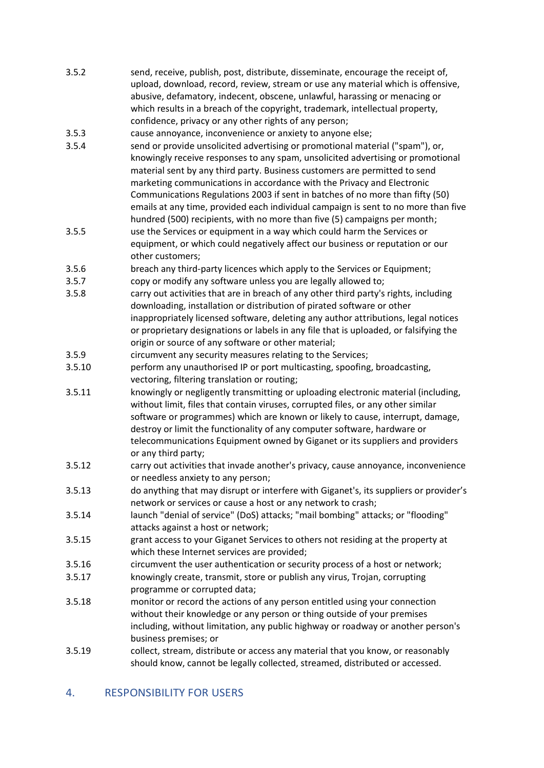3.5.2 send, receive, publish, post, distribute, disseminate, encourage the receipt of, upload, download, record, review, stream or use any material which is offensive, abusive, defamatory, indecent, obscene, unlawful, harassing or menacing or which results in a breach of the copyright, trademark, intellectual property, confidence, privacy or any other rights of any person;

3.5.3 cause annoyance, inconvenience or anxiety to anyone else;

- 3.5.4 send or provide unsolicited advertising or promotional material ("spam"), or, knowingly receive responses to any spam, unsolicited advertising or promotional material sent by any third party. Business customers are permitted to send marketing communications in accordance with the Privacy and Electronic Communications Regulations 2003 if sent in batches of no more than fifty (50) emails at any time, provided each individual campaign is sent to no more than five hundred (500) recipients, with no more than five (5) campaigns per month;
- 3.5.5 use the Services or equipment in a way which could harm the Services or equipment, or which could negatively affect our business or reputation or our other customers;
- 3.5.6 breach any third-party licences which apply to the Services or Equipment;
- 3.5.7 copy or modify any software unless you are legally allowed to;
- 3.5.8 carry out activities that are in breach of any other third party's rights, including downloading, installation or distribution of pirated software or other inappropriately licensed software, deleting any author attributions, legal notices or proprietary designations or labels in any file that is uploaded, or falsifying the origin or source of any software or other material;
- 3.5.9 circumvent any security measures relating to the Services;
- 3.5.10 perform any unauthorised IP or port multicasting, spoofing, broadcasting, vectoring, filtering translation or routing;
- 3.5.11 knowingly or negligently transmitting or uploading electronic material (including, without limit, files that contain viruses, corrupted files, or any other similar software or programmes) which are known or likely to cause, interrupt, damage, destroy or limit the functionality of any computer software, hardware or telecommunications Equipment owned by Giganet or its suppliers and providers or any third party;
- 3.5.12 carry out activities that invade another's privacy, cause annoyance, inconvenience or needless anxiety to any person;
- 3.5.13 do anything that may disrupt or interfere with Giganet's, its suppliers or provider's network or services or cause a host or any network to crash;
- 3.5.14 launch "denial of service" (DoS) attacks; "mail bombing" attacks; or "flooding" attacks against a host or network;
- 3.5.15 grant access to your Giganet Services to others not residing at the property at which these Internet services are provided;
- 3.5.16 circumvent the user authentication or security process of a host or network;
- 3.5.17 knowingly create, transmit, store or publish any virus, Trojan, corrupting programme or corrupted data;
- 3.5.18 monitor or record the actions of any person entitled using your connection without their knowledge or any person or thing outside of your premises including, without limitation, any public highway or roadway or another person's business premises; or
- 3.5.19 collect, stream, distribute or access any material that you know, or reasonably should know, cannot be legally collected, streamed, distributed or accessed.

#### 4. RESPONSIBILITY FOR USERS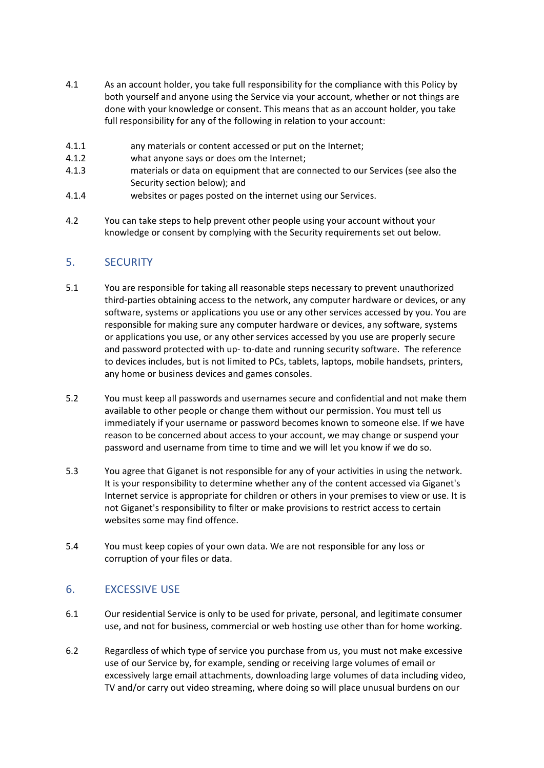- 4.1 As an account holder, you take full responsibility for the compliance with this Policy by both yourself and anyone using the Service via your account, whether or not things are done with your knowledge or consent. This means that as an account holder, you take full responsibility for any of the following in relation to your account:
- 4.1.1 any materials or content accessed or put on the Internet;
- 4.1.2 what anyone says or does om the Internet;
- 4.1.3 materials or data on equipment that are connected to our Services (see also the Security section below); and
- 4.1.4 websites or pages posted on the internet using our Services.
- 4.2 You can take steps to help prevent other people using your account without your knowledge or consent by complying with the Security requirements set out below.

### 5. SECURITY

- 5.1 You are responsible for taking all reasonable steps necessary to prevent unauthorized third-parties obtaining access to the network, any computer hardware or devices, or any software, systems or applications you use or any other services accessed by you. You are responsible for making sure any computer hardware or devices, any software, systems or applications you use, or any other services accessed by you use are properly secure and password protected with up- to-date and running security software. The reference to devices includes, but is not limited to PCs, tablets, laptops, mobile handsets, printers, any home or business devices and games consoles.
- 5.2 You must keep all passwords and usernames secure and confidential and not make them available to other people or change them without our permission. You must tell us immediately if your username or password becomes known to someone else. If we have reason to be concerned about access to your account, we may change or suspend your password and username from time to time and we will let you know if we do so.
- 5.3 You agree that Giganet is not responsible for any of your activities in using the network. It is your responsibility to determine whether any of the content accessed via Giganet's Internet service is appropriate for children or others in your premises to view or use. It is not Giganet's responsibility to filter or make provisions to restrict access to certain websites some may find offence.
- 5.4 You must keep copies of your own data. We are not responsible for any loss or corruption of your files or data.

### 6. EXCESSIVE USE

- 6.1 Our residential Service is only to be used for private, personal, and legitimate consumer use, and not for business, commercial or web hosting use other than for home working.
- 6.2 Regardless of which type of service you purchase from us, you must not make excessive use of our Service by, for example, sending or receiving large volumes of email or excessively large email attachments, downloading large volumes of data including video, TV and/or carry out video streaming, where doing so will place unusual burdens on our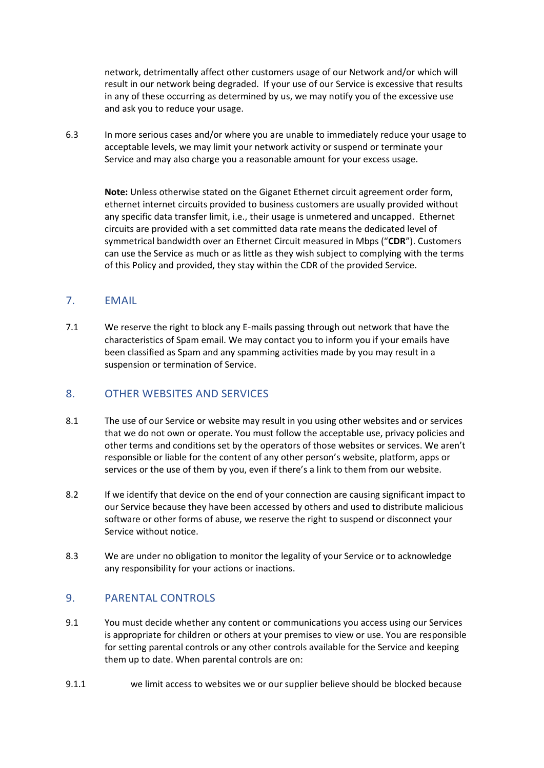network, detrimentally affect other customers usage of our Network and/or which will result in our network being degraded. If your use of our Service is excessive that results in any of these occurring as determined by us, we may notify you of the excessive use and ask you to reduce your usage.

6.3 In more serious cases and/or where you are unable to immediately reduce your usage to acceptable levels, we may limit your network activity or suspend or terminate your Service and may also charge you a reasonable amount for your excess usage.

**Note:** Unless otherwise stated on the Giganet Ethernet circuit agreement order form, ethernet internet circuits provided to business customers are usually provided without any specific data transfer limit, i.e., their usage is unmetered and uncapped. Ethernet circuits are provided with a set committed data rate means the dedicated level of symmetrical bandwidth over an Ethernet Circuit measured in Mbps ("**CDR**"). Customers can use the Service as much or as little as they wish subject to complying with the terms of this Policy and provided, they stay within the CDR of the provided Service.

#### 7. EMAIL

7.1 We reserve the right to block any E-mails passing through out network that have the characteristics of Spam email. We may contact you to inform you if your emails have been classified as Spam and any spamming activities made by you may result in a suspension or termination of Service.

#### 8. OTHER WEBSITES AND SERVICES

- 8.1 The use of our Service or website may result in you using other websites and or services that we do not own or operate. You must follow the acceptable use, privacy policies and other terms and conditions set by the operators of those websites or services. We aren't responsible or liable for the content of any other person's website, platform, apps or services or the use of them by you, even if there's a link to them from our website.
- 8.2 If we identify that device on the end of your connection are causing significant impact to our Service because they have been accessed by others and used to distribute malicious software or other forms of abuse, we reserve the right to suspend or disconnect your Service without notice.
- 8.3 We are under no obligation to monitor the legality of your Service or to acknowledge any responsibility for your actions or inactions.

### 9. PARENTAL CONTROLS

- 9.1 You must decide whether any content or communications you access using our Services is appropriate for children or others at your premises to view or use. You are responsible for setting parental controls or any other controls available for the Service and keeping them up to date. When parental controls are on:
- 9.1.1 we limit access to websites we or our supplier believe should be blocked because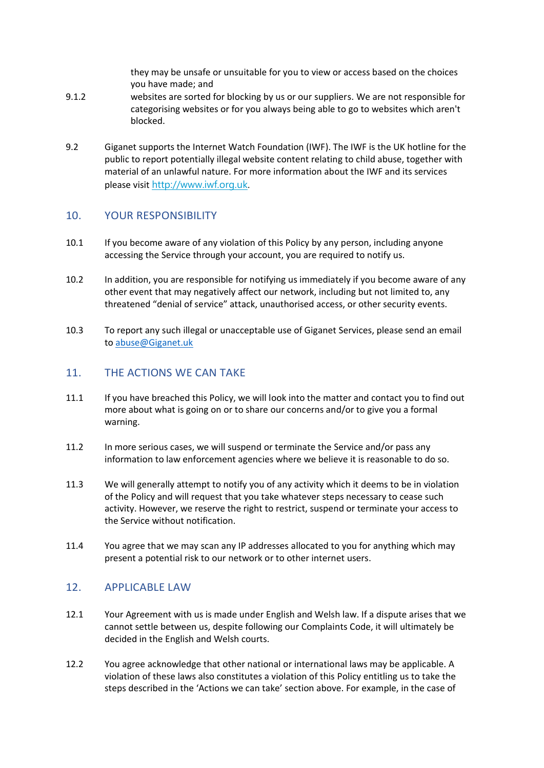they may be unsafe or unsuitable for you to view or access based on the choices you have made; and

- 9.1.2 websites are sorted for blocking by us or our suppliers. We are not responsible for categorising websites or for you always being able to go to websites which aren't blocked.
- 9.2 Giganet supports the Internet Watch Foundation (IWF). The IWF is the UK hotline for the public to report potentially illegal website content relating to child abuse, together with material of an unlawful nature. For more information about the IWF and its services please visit [http://www.iwf.org.uk.](http://www.iwf.org.uk/)

#### 10. YOUR RESPONSIBILITY

- 10.1 If you become aware of any violation of this Policy by any person, including anyone accessing the Service through your account, you are required to notify us.
- 10.2 In addition, you are responsible for notifying us immediately if you become aware of any other event that may negatively affect our network, including but not limited to, any threatened "denial of service" attack, unauthorised access, or other security events.
- 10.3 To report any such illegal or unacceptable use of Giganet Services, please send an email t[o abuse@Giganet.uk](mailto:abuse@Giganet.uk)

#### 11. THE ACTIONS WE CAN TAKE

- 11.1 If you have breached this Policy, we will look into the matter and contact you to find out more about what is going on or to share our concerns and/or to give you a formal warning.
- 11.2 In more serious cases, we will suspend or terminate the Service and/or pass any information to law enforcement agencies where we believe it is reasonable to do so.
- 11.3 We will generally attempt to notify you of any activity which it deems to be in violation of the Policy and will request that you take whatever steps necessary to cease such activity. However, we reserve the right to restrict, suspend or terminate your access to the Service without notification.
- 11.4 You agree that we may scan any IP addresses allocated to you for anything which may present a potential risk to our network or to other internet users.

#### 12. APPLICABLE LAW

- 12.1 Your Agreement with us is made under English and Welsh law. If a dispute arises that we cannot settle between us, despite following our Complaints Code, it will ultimately be decided in the English and Welsh courts.
- 12.2 You agree acknowledge that other national or international laws may be applicable. A violation of these laws also constitutes a violation of this Policy entitling us to take the steps described in the 'Actions we can take' section above. For example, in the case of